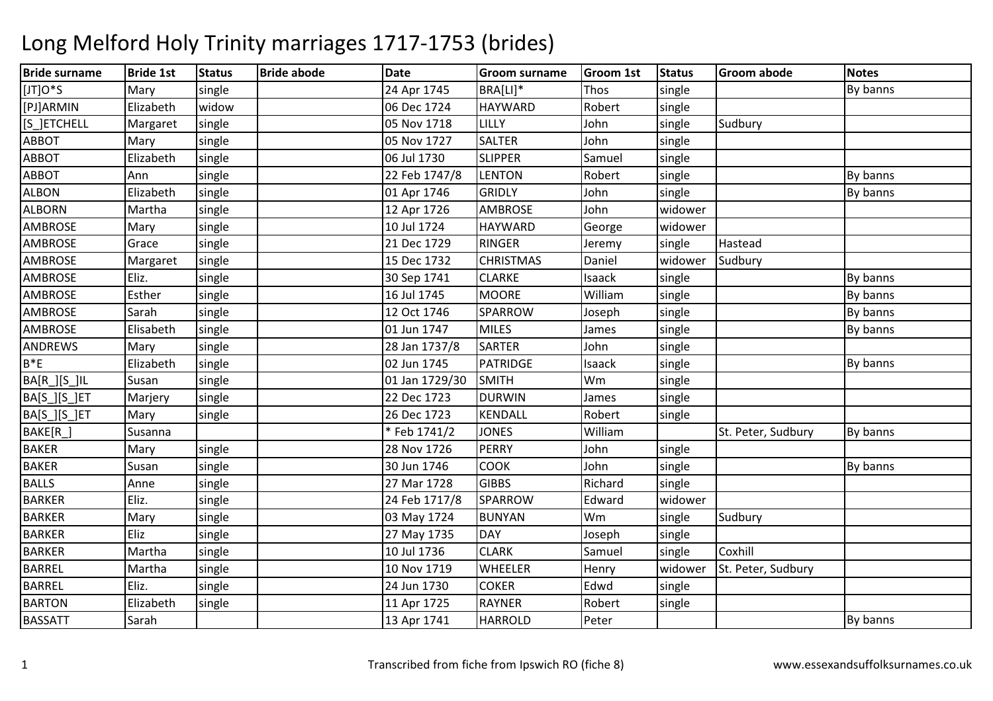| <b>Bride surname</b> | <b>Bride 1st</b> | <b>Status</b> | <b>Bride abode</b> | <b>Date</b>    | <b>Groom surname</b> | <b>Groom 1st</b> | <b>Status</b> | <b>Groom abode</b> | <b>Notes</b> |
|----------------------|------------------|---------------|--------------------|----------------|----------------------|------------------|---------------|--------------------|--------------|
| [JT]O*S              | Mary             | single        |                    | 24 Apr 1745    | BRA[LI]*             | Thos             | single        |                    | By banns     |
| [PJ]ARMIN            | Elizabeth        | widow         |                    | 06 Dec 1724    | <b>HAYWARD</b>       | Robert           | single        |                    |              |
| [S_]ETCHELL          | Margaret         | single        |                    | 05 Nov 1718    | LILLY                | John             | single        | Sudbury            |              |
| <b>ABBOT</b>         | Mary             | single        |                    | 05 Nov 1727    | <b>SALTER</b>        | John             | single        |                    |              |
| <b>ABBOT</b>         | Elizabeth        | single        |                    | 06 Jul 1730    | <b>SLIPPER</b>       | Samuel           | single        |                    |              |
| <b>ABBOT</b>         | Ann              | single        |                    | 22 Feb 1747/8  | <b>LENTON</b>        | Robert           | single        |                    | By banns     |
| <b>ALBON</b>         | Elizabeth        | single        |                    | 01 Apr 1746    | <b>GRIDLY</b>        | John             | single        |                    | By banns     |
| <b>ALBORN</b>        | Martha           | single        |                    | 12 Apr 1726    | <b>AMBROSE</b>       | John             | widower       |                    |              |
| <b>AMBROSE</b>       | Mary             | single        |                    | 10 Jul 1724    | HAYWARD              | George           | widower       |                    |              |
| <b>AMBROSE</b>       | Grace            | single        |                    | 21 Dec 1729    | <b>RINGER</b>        | Jeremy           | single        | Hastead            |              |
| <b>AMBROSE</b>       | Margaret         | single        |                    | 15 Dec 1732    | <b>CHRISTMAS</b>     | Daniel           | widower       | Sudbury            |              |
| <b>AMBROSE</b>       | Eliz.            | single        |                    | 30 Sep 1741    | <b>CLARKE</b>        | Isaack           | single        |                    | By banns     |
| <b>AMBROSE</b>       | Esther           | single        |                    | 16 Jul 1745    | <b>MOORE</b>         | William          | single        |                    | By banns     |
| <b>AMBROSE</b>       | Sarah            | single        |                    | 12 Oct 1746    | <b>SPARROW</b>       | Joseph           | single        |                    | By banns     |
| <b>AMBROSE</b>       | Elisabeth        | single        |                    | 01 Jun 1747    | <b>MILES</b>         | James            | single        |                    | By banns     |
| ANDREWS              | Mary             | single        |                    | 28 Jan 1737/8  | <b>SARTER</b>        | John             | single        |                    |              |
| $B*E$                | Elizabeth        | single        |                    | 02 Jun 1745    | <b>PATRIDGE</b>      | Isaack           | single        |                    | By banns     |
| <b>BA[R_][S_]IL</b>  | Susan            | single        |                    | 01 Jan 1729/30 | <b>SMITH</b>         | Wm               | single        |                    |              |
| BA[S_][S_]ET         | Marjery          | single        |                    | 22 Dec 1723    | <b>DURWIN</b>        | James            | single        |                    |              |
| BA[S_][S_]ET         | Mary             | single        |                    | 26 Dec 1723    | <b>KENDALL</b>       | Robert           | single        |                    |              |
| BAKE[R_]             | Susanna          |               |                    | * Feb 1741/2   | <b>JONES</b>         | William          |               | St. Peter, Sudbury | By banns     |
| <b>BAKER</b>         | Mary             | single        |                    | 28 Nov 1726    | <b>PERRY</b>         | John             | single        |                    |              |
| <b>BAKER</b>         | Susan            | single        |                    | 30 Jun 1746    | <b>COOK</b>          | John             | single        |                    | By banns     |
| <b>BALLS</b>         | Anne             | single        |                    | 27 Mar 1728    | <b>GIBBS</b>         | Richard          | single        |                    |              |
| <b>BARKER</b>        | Eliz.            | single        |                    | 24 Feb 1717/8  | <b>SPARROW</b>       | Edward           | widower       |                    |              |
| <b>BARKER</b>        | Mary             | single        |                    | 03 May 1724    | <b>BUNYAN</b>        | Wm               | single        | Sudbury            |              |
| <b>BARKER</b>        | Eliz             | single        |                    | 27 May 1735    | <b>DAY</b>           | Joseph           | single        |                    |              |
| <b>BARKER</b>        | Martha           | single        |                    | 10 Jul 1736    | <b>CLARK</b>         | Samuel           | single        | Coxhill            |              |
| <b>BARREL</b>        | Martha           | single        |                    | 10 Nov 1719    | WHEELER              | Henry            | widower       | St. Peter, Sudbury |              |
| <b>BARREL</b>        | Eliz.            | single        |                    | 24 Jun 1730    | <b>COKER</b>         | Edwd             | single        |                    |              |
| <b>BARTON</b>        | Elizabeth        | single        |                    | 11 Apr 1725    | <b>RAYNER</b>        | Robert           | single        |                    |              |
| <b>BASSATT</b>       | Sarah            |               |                    | 13 Apr 1741    | <b>HARROLD</b>       | Peter            |               |                    | By banns     |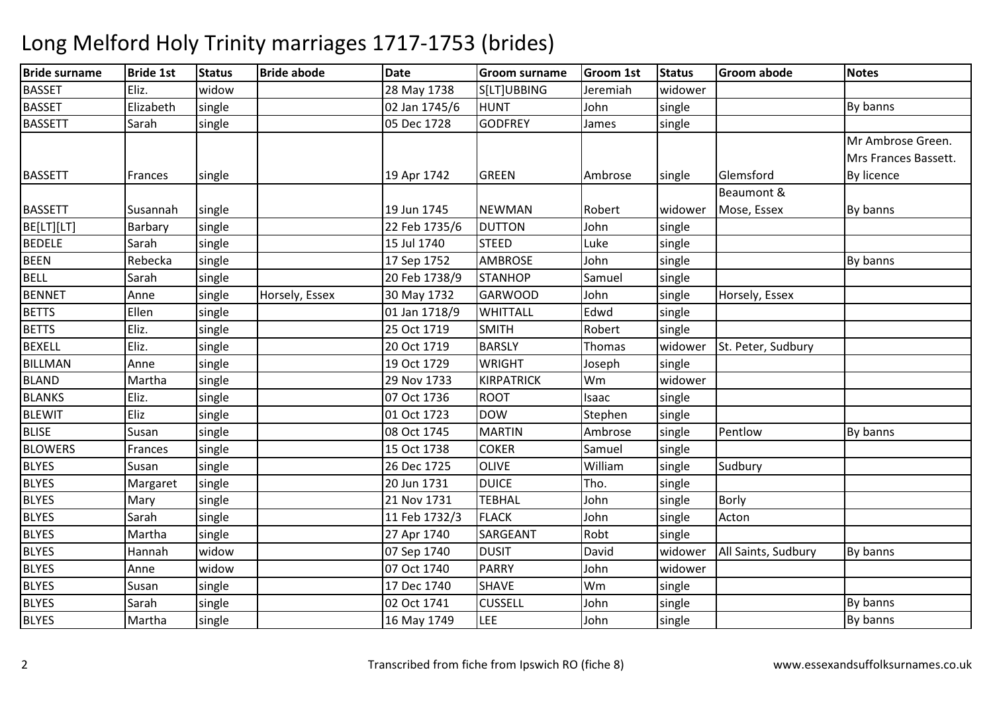### Bride surnamee Bride 1st Status Bride abode Date Groom surname Groom 1st Status Groom abode Notes **BASSET**  Eliz. widoww 28 May 1738 S[LT]UBBING Jeremiah widower **BASSET**  Elizabethh single 20 Jan 1745/6 HUNT John single By banns **BASSETT**  Sarahh | single | 1990 | 1728 | 1800 | 1728 | 1800 | 1810 | 1810 | 1810 | 1810 | 1810 | 1810 | 1810 | 1810 | 1810 | 1810 | 1810 | 1810 | 1810 | 1810 | 1810 | 1810 | 1810 | 1810 | 1810 | 1810 | 1810 | 1810 | 1810 | 1810 | 1810 | BASSETT Frances single 19 Apr 1742 GREEN Ambrose single Glemsford Beaumont & Mr Ambrose Green. Mrs Frances Bassett. By licenceBASSETT |Susannah |single | |19 Jun 1745 |NEWMAN |Robert |widower Mose, Essex By banns BE[LT][LT] Barbary single 22 Feb 1735/6DUTTON<br>STEED N John single BEDELESarah<br>Rebecka h | single | 15 Jul 1740 | STEED D Luke single BEENN Rebecka single 17 Sep 1752 AMBROSE John single By banns BELL Sarahh | single | 20 Feb 1738/9 | STANHOP | Samuel | single BENNET Annesingle Horsely, Essex 30 May 1732<br>single 101 Jan 1718/9 GARWOODGARWOOD John single Horsely, Essex<br>WHITTALL Edwd single BETTS Ellenn single 1 101 Jan 1718/9 WHITTALL Edwd single BETTSEliz. single 25 Oct 1719 SMITHSMITH Robert Single<br>
BARSLY Thomas widower BEXELLEliz. single single 20 Oct 1719<br>
19 Oct 1729 widower St. Peter, Sudbury<br>single BILLMANN Anne single 19 Oct 1729 WRIGHT Joseph single BLANDD Martha Single 29 Nov 1733 KIRPATRICK Wm Wm widower<br>Isaac single BLANKSEliz. single 07 Oct 17366 ROOT Isaac single BLEWITEliz single 01 Oct 1723DOW<br>MARTIN Stephen single<br>Ambrose single **BLISE**  Susan $\frac{1}{2}$  single  $\frac{1}{2}$  MARTIN  $\frac{1}{2}$  08 Oct 1745 Ambrose single Pentlow<br>Samuel single By banns **BLOWERS** Frances single 15 Oct 1738**COKER** COKER Samuel<br>OLIVE William BLYES Susann | single | 26 Dec 1725 | OLIVE | William single Sudbury<br>single **BLYES**  $Margaret$  single 20 Jun 17311 DUICE Tho. single BLYESMary single 21 Nov 173121 Nov 1731 TEBHAL John<br>11 Feb 1732/3 FLACK John single Borly BLYES Sarahh |single | 11 Feb 1732/3 | FLACK | John | single Acton BLYES Martha single 27 Apr 1740SARGEANT Robt single BLYES Hannah widoww 1999 1740 DUSIT David Widower All Saints, Sudbury By banns BLYES Anne widow 07 Oct 1740 PARRY John widower BLYES Susann single 17 Dec 1740 SHAVE Wm Wm<br>John single **BLYES**  Sarahh |single | 1990 02 Oct 1741 | CUSSELL | John | single | 1990 1991 | By banns BLYES Martha single 16 May 17499 |LEE |John n Single By banns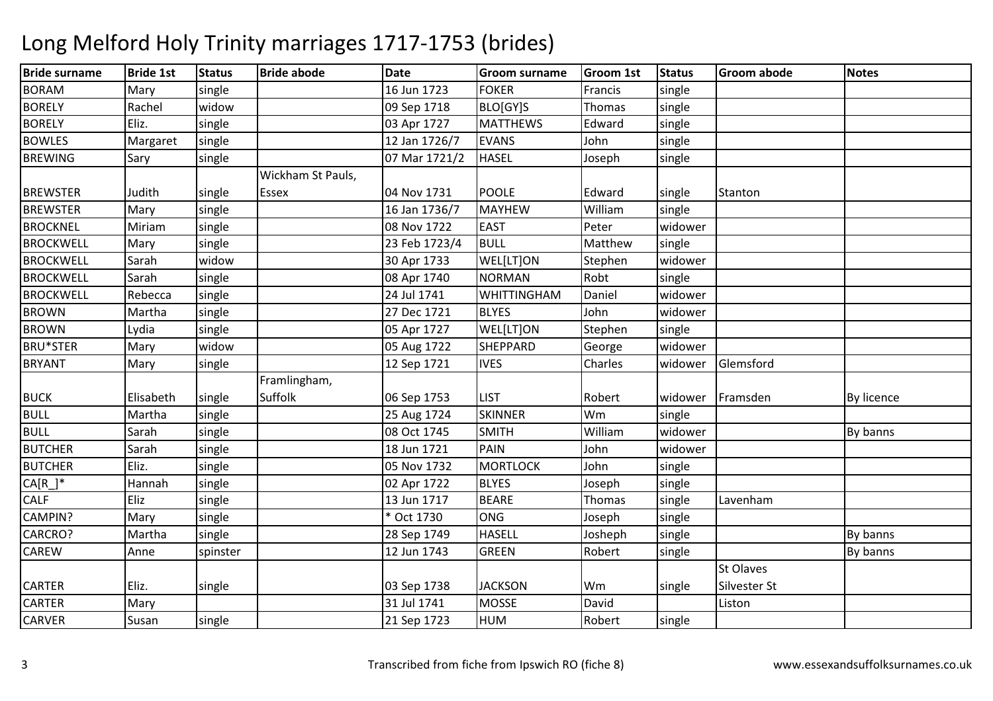| <b>Bride surname</b> | <b>Bride 1st</b> | <b>Status</b> | <b>Bride abode</b> | <b>Date</b>   | <b>Groom surname</b> | <b>Groom 1st</b> | Status  | <b>Groom abode</b> | <b>Notes</b> |
|----------------------|------------------|---------------|--------------------|---------------|----------------------|------------------|---------|--------------------|--------------|
| <b>BORAM</b>         | Mary             | single        |                    | 16 Jun 1723   | <b>FOKER</b>         | Francis          | single  |                    |              |
| <b>BORELY</b>        | Rachel           | widow         |                    | 09 Sep 1718   | BLO[GY]S             | Thomas           | single  |                    |              |
| <b>BORELY</b>        | Eliz.            | single        |                    | 03 Apr 1727   | <b>MATTHEWS</b>      | Edward           | single  |                    |              |
| <b>BOWLES</b>        | Margaret         | single        |                    | 12 Jan 1726/7 | <b>EVANS</b>         | John             | single  |                    |              |
| <b>BREWING</b>       | Sary             | single        |                    | 07 Mar 1721/2 | <b>HASEL</b>         | Joseph           | single  |                    |              |
|                      |                  |               | Wickham St Pauls,  |               |                      |                  |         |                    |              |
| <b>BREWSTER</b>      | Judith           | single        | Essex              | 04 Nov 1731   | <b>POOLE</b>         | Edward           | single  | Stanton            |              |
| <b>BREWSTER</b>      | Mary             | single        |                    | 16 Jan 1736/7 | <b>MAYHEW</b>        | William          | single  |                    |              |
| <b>BROCKNEL</b>      | Miriam           | single        |                    | 08 Nov 1722   | <b>EAST</b>          | Peter            | widower |                    |              |
| <b>BROCKWELL</b>     | Mary             | single        |                    | 23 Feb 1723/4 | <b>BULL</b>          | Matthew          | single  |                    |              |
| <b>BROCKWELL</b>     | Sarah            | widow         |                    | 30 Apr 1733   | WEL[LT]ON            | Stephen          | widower |                    |              |
| <b>BROCKWELL</b>     | Sarah            | single        |                    | 08 Apr 1740   | <b>NORMAN</b>        | Robt             | single  |                    |              |
| <b>BROCKWELL</b>     | Rebecca          | single        |                    | 24 Jul 1741   | <b>WHITTINGHAM</b>   | Daniel           | widower |                    |              |
| <b>BROWN</b>         | Martha           | single        |                    | 27 Dec 1721   | <b>BLYES</b>         | John             | widower |                    |              |
| <b>BROWN</b>         | Lydia            | single        |                    | 05 Apr 1727   | WEL[LT]ON            | Stephen          | single  |                    |              |
| <b>BRU*STER</b>      | Mary             | widow         |                    | 05 Aug 1722   | <b>SHEPPARD</b>      | George           | widower |                    |              |
| <b>BRYANT</b>        | Mary             | single        |                    | 12 Sep 1721   | <b>IVES</b>          | Charles          | widower | Glemsford          |              |
|                      |                  |               | Framlingham,       |               |                      |                  |         |                    |              |
| <b>BUCK</b>          | Elisabeth        | single        | Suffolk            | 06 Sep 1753   | <b>LIST</b>          | Robert           | widower | Framsden           | By licence   |
| BULL                 | Martha           | single        |                    | 25 Aug 1724   | <b>SKINNER</b>       | Wm               | single  |                    |              |
| <b>BULL</b>          | Sarah            | single        |                    | 08 Oct 1745   | <b>SMITH</b>         | William          | widower |                    | By banns     |
| <b>BUTCHER</b>       | Sarah            | single        |                    | 18 Jun 1721   | <b>PAIN</b>          | John             | widower |                    |              |
| <b>BUTCHER</b>       | Eliz.            | single        |                    | 05 Nov 1732   | <b>MORTLOCK</b>      | John             | single  |                    |              |
| $CA[R_$ <sup>*</sup> | Hannah           | single        |                    | 02 Apr 1722   | <b>BLYES</b>         | Joseph           | single  |                    |              |
| CALF                 | Eliz             | single        |                    | 13 Jun 1717   | <b>BEARE</b>         | Thomas           | single  | Lavenham           |              |
| CAMPIN?              | Mary             | single        |                    | * Oct 1730    | <b>ONG</b>           | Joseph           | single  |                    |              |
| CARCRO?              | Martha           | single        |                    | 28 Sep 1749   | <b>HASELL</b>        | Josheph          | single  |                    | By banns     |
| <b>CAREW</b>         | Anne             | spinster      |                    | 12 Jun 1743   | <b>GREEN</b>         | Robert           | single  |                    | By banns     |
|                      |                  |               |                    |               |                      |                  |         | <b>St Olaves</b>   |              |
| <b>CARTER</b>        | Eliz.            | single        |                    | 03 Sep 1738   | <b>JACKSON</b>       | Wm               | single  | Silvester St       |              |
| <b>CARTER</b>        | Mary             |               |                    | 31 Jul 1741   | <b>MOSSE</b>         | David            |         | Liston             |              |
| CARVER               | Susan            | single        |                    | 21 Sep 1723   | <b>HUM</b>           | Robert           | single  |                    |              |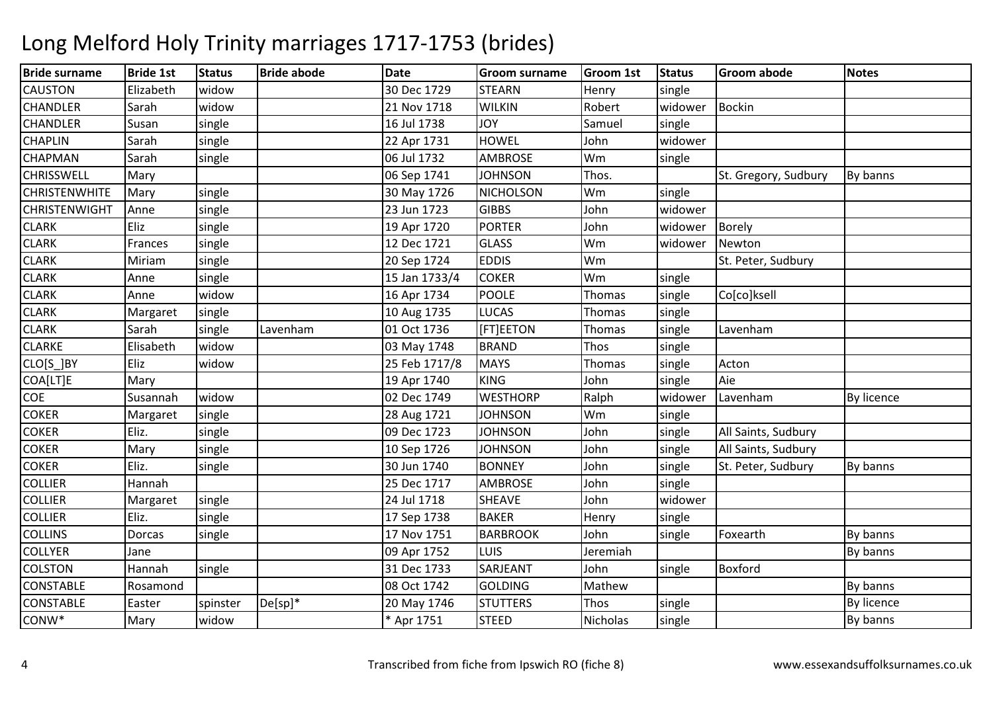| <b>Bride surname</b> | <b>Bride 1st</b> | <b>Status</b> | <b>Bride abode</b> | <b>Date</b>   | <b>Groom surname</b> | <b>Groom 1st</b> | <b>Status</b> | <b>Groom abode</b>   | <b>Notes</b> |
|----------------------|------------------|---------------|--------------------|---------------|----------------------|------------------|---------------|----------------------|--------------|
| <b>CAUSTON</b>       | Elizabeth        | widow         |                    | 30 Dec 1729   | <b>STEARN</b>        | Henry            | single        |                      |              |
| <b>CHANDLER</b>      | Sarah            | widow         |                    | 21 Nov 1718   | <b>WILKIN</b>        | Robert           | widower       | <b>Bockin</b>        |              |
| <b>CHANDLER</b>      | Susan            | single        |                    | 16 Jul 1738   | YOL                  | Samuel           | single        |                      |              |
| <b>CHAPLIN</b>       | Sarah            | single        |                    | 22 Apr 1731   | <b>HOWEL</b>         | John             | widower       |                      |              |
| <b>CHAPMAN</b>       | Sarah            | single        |                    | 06 Jul 1732   | <b>AMBROSE</b>       | Wm               | single        |                      |              |
| <b>CHRISSWELL</b>    | Mary             |               |                    | 06 Sep 1741   | <b>JOHNSON</b>       | Thos.            |               | St. Gregory, Sudbury | By banns     |
| <b>CHRISTENWHITE</b> | Mary             | single        |                    | 30 May 1726   | <b>NICHOLSON</b>     | Wm               | single        |                      |              |
| <b>CHRISTENWIGHT</b> | Anne             | single        |                    | 23 Jun 1723   | <b>GIBBS</b>         | John             | widower       |                      |              |
| <b>CLARK</b>         | Eliz             | single        |                    | 19 Apr 1720   | <b>PORTER</b>        | John             | widower       | <b>Borely</b>        |              |
| <b>CLARK</b>         | Frances          | single        |                    | 12 Dec 1721   | <b>GLASS</b>         | Wm               | widower       | Newton               |              |
| <b>CLARK</b>         | Miriam           | single        |                    | 20 Sep 1724   | <b>EDDIS</b>         | Wm               |               | St. Peter, Sudbury   |              |
| <b>CLARK</b>         | Anne             | single        |                    | 15 Jan 1733/4 | <b>COKER</b>         | Wm               | single        |                      |              |
| <b>CLARK</b>         | Anne             | widow         |                    | 16 Apr 1734   | <b>POOLE</b>         | Thomas           | single        | Co[co]ksell          |              |
| <b>CLARK</b>         | Margaret         | single        |                    | 10 Aug 1735   | <b>LUCAS</b>         | Thomas           | single        |                      |              |
| <b>CLARK</b>         | Sarah            | single        | Lavenham           | 01 Oct 1736   | [FT]EETON            | Thomas           | single        | Lavenham             |              |
| <b>CLARKE</b>        | Elisabeth        | widow         |                    | 03 May 1748   | <b>BRAND</b>         | Thos             | single        |                      |              |
| CLO[S_]BY            | Eliz             | widow         |                    | 25 Feb 1717/8 | <b>MAYS</b>          | Thomas           | single        | Acton                |              |
| COA[LT]E             | Mary             |               |                    | 19 Apr 1740   | <b>KING</b>          | John             | single        | Aie                  |              |
| COE                  | Susannah         | widow         |                    | 02 Dec 1749   | <b>WESTHORP</b>      | Ralph            | widower       | Lavenham             | By licence   |
| <b>COKER</b>         | Margaret         | single        |                    | 28 Aug 1721   | <b>JOHNSON</b>       | Wm               | single        |                      |              |
| <b>COKER</b>         | Eliz.            | single        |                    | 09 Dec 1723   | <b>JOHNSON</b>       | John             | single        | All Saints, Sudbury  |              |
| <b>COKER</b>         | Mary             | single        |                    | 10 Sep 1726   | <b>JOHNSON</b>       | John             | single        | All Saints, Sudbury  |              |
| <b>COKER</b>         | Eliz.            | single        |                    | 30 Jun 1740   | <b>BONNEY</b>        | John             | single        | St. Peter, Sudbury   | By banns     |
| <b>COLLIER</b>       | Hannah           |               |                    | 25 Dec 1717   | <b>AMBROSE</b>       | John             | single        |                      |              |
| <b>COLLIER</b>       | Margaret         | single        |                    | 24 Jul 1718   | <b>SHEAVE</b>        | John             | widower       |                      |              |
| <b>COLLIER</b>       | Eliz.            | single        |                    | 17 Sep 1738   | <b>BAKER</b>         | Henry            | single        |                      |              |
| <b>COLLINS</b>       | Dorcas           | single        |                    | 17 Nov 1751   | <b>BARBROOK</b>      | John             | single        | Foxearth             | By banns     |
| <b>COLLYER</b>       | Jane             |               |                    | 09 Apr 1752   | <b>LUIS</b>          | Jeremiah         |               |                      | By banns     |
| <b>COLSTON</b>       | Hannah           | single        |                    | 31 Dec 1733   | SARJEANT             | John             | single        | <b>Boxford</b>       |              |
| <b>CONSTABLE</b>     | Rosamond         |               |                    | 08 Oct 1742   | <b>GOLDING</b>       | Mathew           |               |                      | By banns     |
| <b>CONSTABLE</b>     | Easter           | spinster      | $De[sp]*$          | 20 May 1746   | <b>STUTTERS</b>      | Thos             | single        |                      | By licence   |
| $CONW^*$             | Mary             | widow         |                    | * Apr 1751    | <b>STEED</b>         | Nicholas         | single        |                      | By banns     |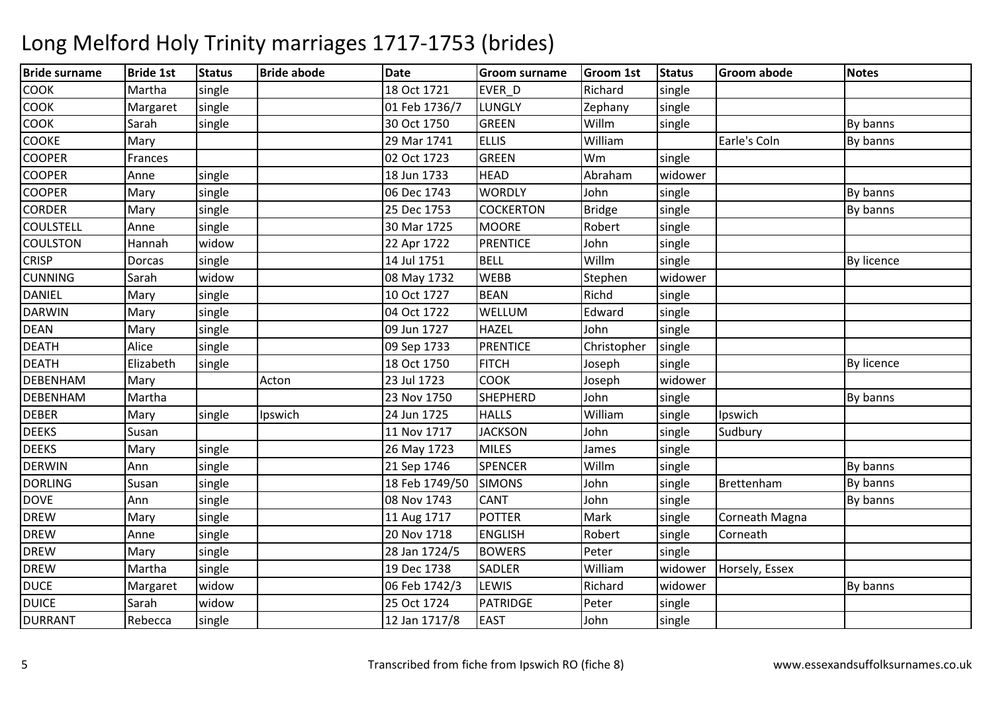| <b>Bride surname</b> | <b>Bride 1st</b> | <b>Status</b> | <b>Bride abode</b> | <b>Date</b>    | <b>Groom surname</b> | <b>Groom 1st</b> | <b>Status</b> | <b>Groom abode</b> | <b>Notes</b>      |
|----------------------|------------------|---------------|--------------------|----------------|----------------------|------------------|---------------|--------------------|-------------------|
| <b>COOK</b>          | Martha           | single        |                    | 18 Oct 1721    | EVER D               | Richard          | single        |                    |                   |
| <b>COOK</b>          | Margaret         | single        |                    | 01 Feb 1736/7  | <b>LUNGLY</b>        | Zephany          | single        |                    |                   |
| <b>COOK</b>          | Sarah            | single        |                    | 30 Oct 1750    | <b>GREEN</b>         | Willm            | single        |                    | By banns          |
| <b>COOKE</b>         | Mary             |               |                    | 29 Mar 1741    | <b>ELLIS</b>         | William          |               | Earle's Coln       | By banns          |
| <b>COOPER</b>        | Frances          |               |                    | 02 Oct 1723    | <b>GREEN</b>         | Wm               | single        |                    |                   |
| <b>COOPER</b>        | Anne             | single        |                    | 18 Jun 1733    | <b>HEAD</b>          | Abraham          | widower       |                    |                   |
| <b>COOPER</b>        | Mary             | single        |                    | 06 Dec 1743    | <b>WORDLY</b>        | John             | single        |                    | By banns          |
| <b>CORDER</b>        | Mary             | single        |                    | 25 Dec 1753    | <b>COCKERTON</b>     | <b>Bridge</b>    | single        |                    | By banns          |
| <b>COULSTELL</b>     | Anne             | single        |                    | 30 Mar 1725    | <b>MOORE</b>         | Robert           | single        |                    |                   |
| <b>COULSTON</b>      | Hannah           | widow         |                    | 22 Apr 1722    | <b>PRENTICE</b>      | John             | single        |                    |                   |
| <b>CRISP</b>         | Dorcas           | single        |                    | 14 Jul 1751    | <b>BELL</b>          | Willm            | single        |                    | <b>By licence</b> |
| <b>CUNNING</b>       | Sarah            | widow         |                    | 08 May 1732    | <b>WEBB</b>          | Stephen          | widower       |                    |                   |
| <b>DANIEL</b>        | Mary             | single        |                    | 10 Oct 1727    | <b>BEAN</b>          | Richd            | single        |                    |                   |
| <b>DARWIN</b>        | Mary             | single        |                    | 04 Oct 1722    | WELLUM               | Edward           | single        |                    |                   |
| <b>DEAN</b>          | Mary             | single        |                    | 09 Jun 1727    | <b>HAZEL</b>         | John             | single        |                    |                   |
| <b>DEATH</b>         | Alice            | single        |                    | 09 Sep 1733    | <b>PRENTICE</b>      | Christopher      | single        |                    |                   |
| <b>DEATH</b>         | Elizabeth        | single        |                    | 18 Oct 1750    | <b>FITCH</b>         | Joseph           | single        |                    | <b>By licence</b> |
| <b>DEBENHAM</b>      | Mary             |               | Acton              | 23 Jul 1723    | <b>COOK</b>          | Joseph           | widower       |                    |                   |
| <b>DEBENHAM</b>      | Martha           |               |                    | 23 Nov 1750    | <b>SHEPHERD</b>      | John             | single        |                    | By banns          |
| <b>DEBER</b>         | Mary             | single        | Ipswich            | 24 Jun 1725    | <b>HALLS</b>         | William          | single        | Ipswich            |                   |
| <b>DEEKS</b>         | Susan            |               |                    | 11 Nov 1717    | <b>JACKSON</b>       | John             | single        | Sudbury            |                   |
| <b>DEEKS</b>         | Mary             | single        |                    | 26 May 1723    | <b>MILES</b>         | James            | single        |                    |                   |
| <b>DERWIN</b>        | Ann              | single        |                    | 21 Sep 1746    | <b>SPENCER</b>       | Willm            | single        |                    | By banns          |
| <b>DORLING</b>       | Susan            | single        |                    | 18 Feb 1749/50 | <b>SIMONS</b>        | John             | single        | Brettenham         | By banns          |
| <b>DOVE</b>          | Ann              | single        |                    | 08 Nov 1743    | <b>CANT</b>          | John             | single        |                    | By banns          |
| <b>DREW</b>          | Mary             | single        |                    | 11 Aug 1717    | <b>POTTER</b>        | Mark             | single        | Corneath Magna     |                   |
| <b>DREW</b>          | Anne             | single        |                    | 20 Nov 1718    | <b>ENGLISH</b>       | Robert           | single        | Corneath           |                   |
| <b>DREW</b>          | Mary             | single        |                    | 28 Jan 1724/5  | <b>BOWERS</b>        | Peter            | single        |                    |                   |
| <b>DREW</b>          | Martha           | single        |                    | 19 Dec 1738    | <b>SADLER</b>        | William          | widower       | Horsely, Essex     |                   |
| <b>DUCE</b>          | Margaret         | widow         |                    | 06 Feb 1742/3  | <b>LEWIS</b>         | Richard          | widower       |                    | By banns          |
| <b>DUICE</b>         | Sarah            | widow         |                    | 25 Oct 1724    | <b>PATRIDGE</b>      | Peter            | single        |                    |                   |
| <b>DURRANT</b>       | Rebecca          | single        |                    | 12 Jan 1717/8  | <b>EAST</b>          | John             | single        |                    |                   |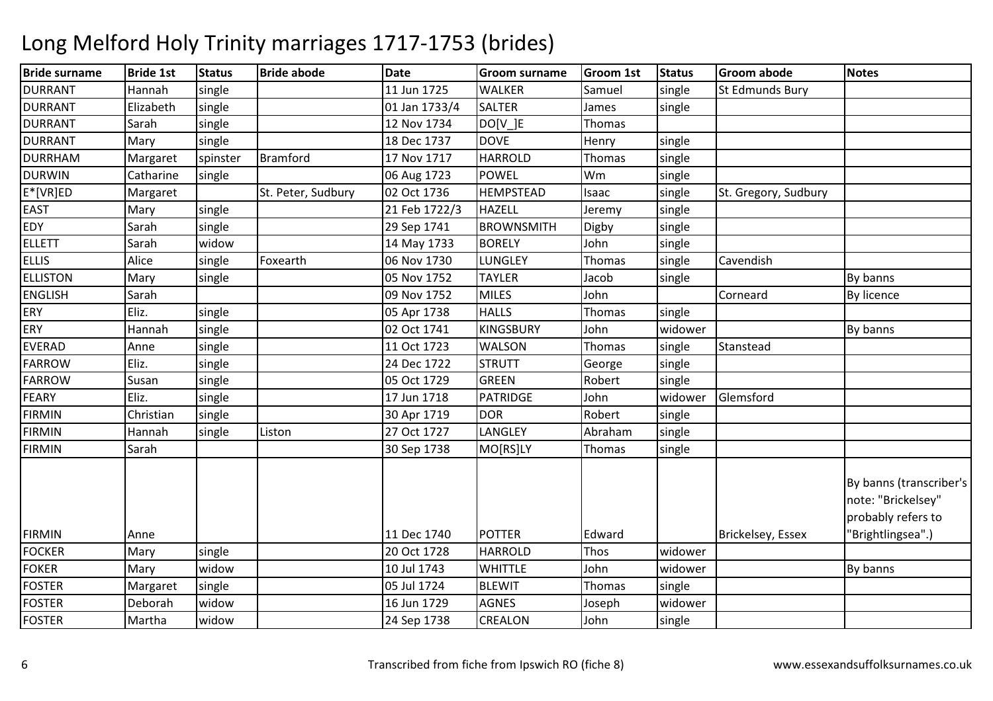| <b>Bride surname</b> | <b>Bride 1st</b> | <b>Status</b> | <b>Bride abode</b> | <b>Date</b>   | <b>Groom surname</b> | <b>Groom 1st</b> | <b>Status</b> | <b>Groom abode</b>       | <b>Notes</b>                                                        |
|----------------------|------------------|---------------|--------------------|---------------|----------------------|------------------|---------------|--------------------------|---------------------------------------------------------------------|
| <b>DURRANT</b>       | Hannah           | single        |                    | 11 Jun 1725   | <b>WALKER</b>        | Samuel           | single        | St Edmunds Bury          |                                                                     |
| <b>DURRANT</b>       | Elizabeth        | single        |                    | 01 Jan 1733/4 | <b>SALTER</b>        | James            | single        |                          |                                                                     |
| <b>DURRANT</b>       | Sarah            | single        |                    | 12 Nov 1734   | DO[V ]E              | Thomas           |               |                          |                                                                     |
| <b>DURRANT</b>       | Mary             | single        |                    | 18 Dec 1737   | <b>DOVE</b>          | Henry            | single        |                          |                                                                     |
| <b>DURRHAM</b>       | Margaret         | spinster      | Bramford           | 17 Nov 1717   | <b>HARROLD</b>       | Thomas           | single        |                          |                                                                     |
| <b>DURWIN</b>        | Catharine        | single        |                    | 06 Aug 1723   | <b>POWEL</b>         | Wm               | single        |                          |                                                                     |
| $E^*[VR]ED$          | Margaret         |               | St. Peter, Sudbury | 02 Oct 1736   | <b>HEMPSTEAD</b>     | Isaac            | single        | St. Gregory, Sudbury     |                                                                     |
| <b>EAST</b>          | Mary             | single        |                    | 21 Feb 1722/3 | <b>HAZELL</b>        | Jeremy           | single        |                          |                                                                     |
| <b>EDY</b>           | Sarah            | single        |                    | 29 Sep 1741   | <b>BROWNSMITH</b>    | Digby            | single        |                          |                                                                     |
| <b>ELLETT</b>        | Sarah            | widow         |                    | 14 May 1733   | <b>BORELY</b>        | John             | single        |                          |                                                                     |
| <b>ELLIS</b>         | Alice            | single        | Foxearth           | 06 Nov 1730   | LUNGLEY              | Thomas           | single        | Cavendish                |                                                                     |
| <b>ELLISTON</b>      | Mary             | single        |                    | 05 Nov 1752   | <b>TAYLER</b>        | Jacob            | single        |                          | By banns                                                            |
| <b>ENGLISH</b>       | Sarah            |               |                    | 09 Nov 1752   | <b>MILES</b>         | John             |               | Corneard                 | By licence                                                          |
| <b>ERY</b>           | Eliz.            | single        |                    | 05 Apr 1738   | <b>HALLS</b>         | Thomas           | single        |                          |                                                                     |
| <b>ERY</b>           | Hannah           | single        |                    | 02 Oct 1741   | <b>KINGSBURY</b>     | John             | widower       |                          | By banns                                                            |
| <b>EVERAD</b>        | Anne             | single        |                    | 11 Oct 1723   | <b>WALSON</b>        | Thomas           | single        | Stanstead                |                                                                     |
| <b>FARROW</b>        | Eliz.            | single        |                    | 24 Dec 1722   | <b>STRUTT</b>        | George           | single        |                          |                                                                     |
| <b>FARROW</b>        | Susan            | single        |                    | 05 Oct 1729   | <b>GREEN</b>         | Robert           | single        |                          |                                                                     |
| <b>FEARY</b>         | Eliz.            | single        |                    | 17 Jun 1718   | <b>PATRIDGE</b>      | John             | widower       | Glemsford                |                                                                     |
| <b>FIRMIN</b>        | Christian        | single        |                    | 30 Apr 1719   | <b>DOR</b>           | Robert           | single        |                          |                                                                     |
| <b>FIRMIN</b>        | Hannah           | single        | Liston             | 27 Oct 1727   | LANGLEY              | Abraham          | single        |                          |                                                                     |
| <b>FIRMIN</b>        | Sarah            |               |                    | 30 Sep 1738   | MO[RS]LY             | Thomas           | single        |                          |                                                                     |
|                      |                  |               |                    |               |                      |                  |               |                          | By banns (transcriber's<br>note: "Brickelsey"<br>probably refers to |
| <b>FIRMIN</b>        | Anne             |               |                    | 11 Dec 1740   | <b>POTTER</b>        | Edward           |               | <b>Brickelsey, Essex</b> | "Brightlingsea".)                                                   |
| <b>FOCKER</b>        | Mary             | single        |                    | 20 Oct 1728   | <b>HARROLD</b>       | Thos             | widower       |                          |                                                                     |
| <b>FOKER</b>         | Mary             | widow         |                    | 10 Jul 1743   | <b>WHITTLE</b>       | John             | widower       |                          | By banns                                                            |
| <b>FOSTER</b>        | Margaret         | single        |                    | 05 Jul 1724   | <b>BLEWIT</b>        | Thomas           | single        |                          |                                                                     |
| <b>FOSTER</b>        | Deborah          | widow         |                    | 16 Jun 1729   | <b>AGNES</b>         | Joseph           | widower       |                          |                                                                     |
| <b>FOSTER</b>        | Martha           | widow         |                    | 24 Sep 1738   | CREALON              | John             | single        |                          |                                                                     |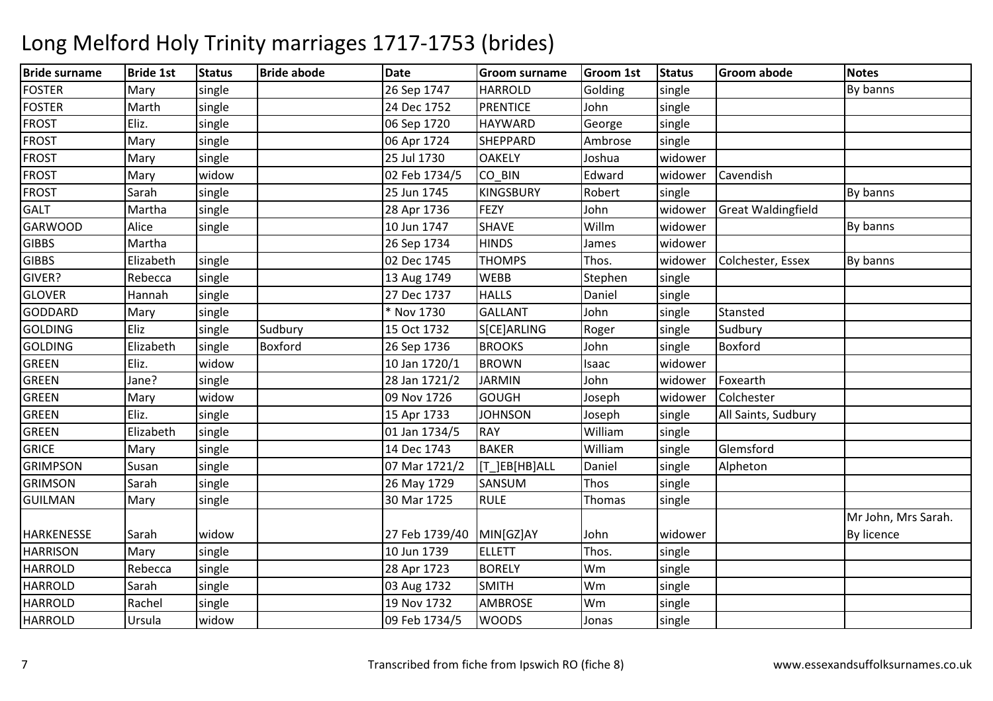| <b>Bride surname</b> | <b>Bride 1st</b> | <b>Status</b> | <b>Bride abode</b> | <b>Date</b>    | <b>Groom surname</b> | <b>Groom 1st</b> | <b>Status</b> | <b>Groom abode</b>        | <b>Notes</b>        |
|----------------------|------------------|---------------|--------------------|----------------|----------------------|------------------|---------------|---------------------------|---------------------|
| <b>FOSTER</b>        | Mary             | single        |                    | 26 Sep 1747    | <b>HARROLD</b>       | Golding          | single        |                           | By banns            |
| <b>FOSTER</b>        | Marth            | single        |                    | 24 Dec 1752    | <b>PRENTICE</b>      | John             | single        |                           |                     |
| <b>FROST</b>         | Eliz.            | single        |                    | 06 Sep 1720    | <b>HAYWARD</b>       | George           | single        |                           |                     |
| <b>FROST</b>         | Mary             | single        |                    | 06 Apr 1724    | <b>SHEPPARD</b>      | Ambrose          | single        |                           |                     |
| <b>FROST</b>         | Mary             | single        |                    | 25 Jul 1730    | <b>OAKELY</b>        | Joshua           | widower       |                           |                     |
| <b>FROST</b>         | Mary             | widow         |                    | 02 Feb 1734/5  | CO BIN               | Edward           | widower       | Cavendish                 |                     |
| <b>FROST</b>         | Sarah            | single        |                    | 25 Jun 1745    | <b>KINGSBURY</b>     | Robert           | single        |                           | By banns            |
| <b>GALT</b>          | Martha           | single        |                    | 28 Apr 1736    | FEZY                 | John             | widower       | <b>Great Waldingfield</b> |                     |
| <b>GARWOOD</b>       | Alice            | single        |                    | 10 Jun 1747    | <b>SHAVE</b>         | Willm            | widower       |                           | By banns            |
| <b>GIBBS</b>         | Martha           |               |                    | 26 Sep 1734    | <b>HINDS</b>         | James            | widower       |                           |                     |
| <b>GIBBS</b>         | Elizabeth        | single        |                    | 02 Dec 1745    | <b>THOMPS</b>        | Thos.            | widower       | Colchester, Essex         | By banns            |
| GIVER?               | Rebecca          | single        |                    | 13 Aug 1749    | <b>WEBB</b>          | Stephen          | single        |                           |                     |
| <b>GLOVER</b>        | Hannah           | single        |                    | 27 Dec 1737    | <b>HALLS</b>         | Daniel           | single        |                           |                     |
| GODDARD              | Mary             | single        |                    | * Nov 1730     | <b>GALLANT</b>       | John             | single        | Stansted                  |                     |
| <b>GOLDING</b>       | Eliz             | single        | Sudbury            | 15 Oct 1732    | S[CE]ARLING          | Roger            | single        | Sudbury                   |                     |
| <b>GOLDING</b>       | Elizabeth        | single        | Boxford            | 26 Sep 1736    | <b>BROOKS</b>        | John             | single        | Boxford                   |                     |
| <b>GREEN</b>         | Eliz.            | widow         |                    | 10 Jan 1720/1  | <b>BROWN</b>         | Isaac            | widower       |                           |                     |
| <b>GREEN</b>         | Jane?            | single        |                    | 28 Jan 1721/2  | <b>JARMIN</b>        | John             | widower       | Foxearth                  |                     |
| <b>GREEN</b>         | Mary             | widow         |                    | 09 Nov 1726    | <b>GOUGH</b>         | Joseph           | widower       | Colchester                |                     |
| <b>GREEN</b>         | Eliz.            | single        |                    | 15 Apr 1733    | <b>JOHNSON</b>       | Joseph           | single        | All Saints, Sudbury       |                     |
| <b>GREEN</b>         | Elizabeth        | single        |                    | 01 Jan 1734/5  | <b>RAY</b>           | William          | single        |                           |                     |
| <b>GRICE</b>         | Mary             | single        |                    | 14 Dec 1743    | <b>BAKER</b>         | William          | single        | Glemsford                 |                     |
| <b>GRIMPSON</b>      | Susan            | single        |                    | 07 Mar 1721/2  | [T_]EB[HB]ALL        | Daniel           | single        | Alpheton                  |                     |
| <b>GRIMSON</b>       | Sarah            | single        |                    | 26 May 1729    | SANSUM               | Thos             | single        |                           |                     |
| <b>GUILMAN</b>       | Mary             | single        |                    | 30 Mar 1725    | <b>RULE</b>          | Thomas           | single        |                           |                     |
|                      |                  |               |                    |                |                      |                  |               |                           | Mr John, Mrs Sarah. |
| <b>HARKENESSE</b>    | Sarah            | widow         |                    | 27 Feb 1739/40 | MIN[GZ]AY            | John             | widower       |                           | <b>By licence</b>   |
| <b>HARRISON</b>      | Mary             | single        |                    | 10 Jun 1739    | <b>ELLETT</b>        | Thos.            | single        |                           |                     |
| <b>HARROLD</b>       | Rebecca          | single        |                    | 28 Apr 1723    | <b>BORELY</b>        | Wm               | single        |                           |                     |
| <b>HARROLD</b>       | Sarah            | single        |                    | 03 Aug 1732    | <b>SMITH</b>         | Wm               | single        |                           |                     |
| <b>HARROLD</b>       | Rachel           | single        |                    | 19 Nov 1732    | <b>AMBROSE</b>       | Wm               | single        |                           |                     |
| <b>HARROLD</b>       | Ursula           | widow         |                    | 09 Feb 1734/5  | <b>WOODS</b>         | Jonas            | single        |                           |                     |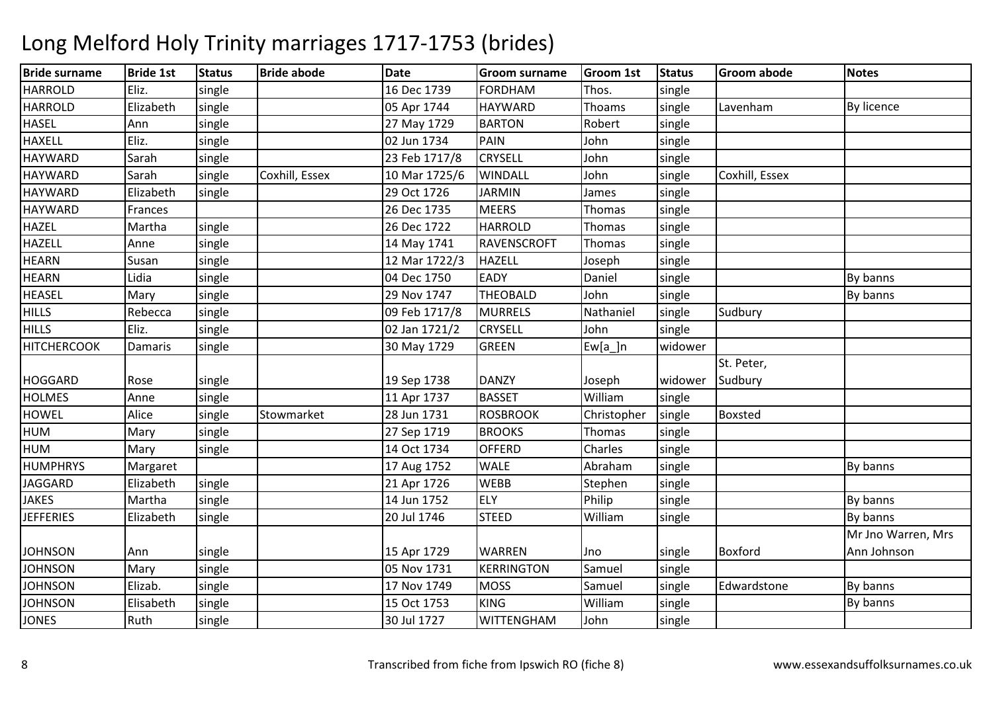| <b>Bride surname</b> | <b>Bride 1st</b> | <b>Status</b> | <b>Bride abode</b> | <b>Date</b>   | <b>Groom surname</b> | <b>Groom 1st</b> | Status  | <b>Groom abode</b> | <b>Notes</b>       |
|----------------------|------------------|---------------|--------------------|---------------|----------------------|------------------|---------|--------------------|--------------------|
| <b>HARROLD</b>       | Eliz.            | single        |                    | 16 Dec 1739   | <b>FORDHAM</b>       | Thos.            | single  |                    |                    |
| <b>HARROLD</b>       | Elizabeth        | single        |                    | 05 Apr 1744   | <b>HAYWARD</b>       | Thoams           | single  | Lavenham           | By licence         |
| <b>HASEL</b>         | Ann              | single        |                    | 27 May 1729   | <b>BARTON</b>        | Robert           | single  |                    |                    |
| <b>HAXELL</b>        | Eliz.            | single        |                    | 02 Jun 1734   | PAIN                 | John             | single  |                    |                    |
| <b>HAYWARD</b>       | Sarah            | single        |                    | 23 Feb 1717/8 | <b>CRYSELL</b>       | John             | single  |                    |                    |
| <b>HAYWARD</b>       | Sarah            | single        | Coxhill, Essex     | 10 Mar 1725/6 | <b>WINDALL</b>       | John             | single  | Coxhill, Essex     |                    |
| <b>HAYWARD</b>       | Elizabeth        | single        |                    | 29 Oct 1726   | <b>JARMIN</b>        | James            | single  |                    |                    |
| <b>HAYWARD</b>       | Frances          |               |                    | 26 Dec 1735   | <b>MEERS</b>         | Thomas           | single  |                    |                    |
| <b>HAZEL</b>         | Martha           | single        |                    | 26 Dec 1722   | <b>HARROLD</b>       | Thomas           | single  |                    |                    |
| <b>HAZELL</b>        | Anne             | single        |                    | 14 May 1741   | <b>RAVENSCROFT</b>   | Thomas           | single  |                    |                    |
| <b>HEARN</b>         | Susan            | single        |                    | 12 Mar 1722/3 | <b>HAZELL</b>        | Joseph           | single  |                    |                    |
| <b>HEARN</b>         | Lidia            | single        |                    | 04 Dec 1750   | <b>EADY</b>          | Daniel           | single  |                    | By banns           |
| <b>HEASEL</b>        | Mary             | single        |                    | 29 Nov 1747   | <b>THEOBALD</b>      | John             | single  |                    | By banns           |
| <b>HILLS</b>         | Rebecca          | single        |                    | 09 Feb 1717/8 | <b>MURRELS</b>       | Nathaniel        | single  | Sudbury            |                    |
| <b>HILLS</b>         | Eliz.            | single        |                    | 02 Jan 1721/2 | <b>CRYSELL</b>       | John             | single  |                    |                    |
| <b>HITCHERCOOK</b>   | Damaris          | single        |                    | 30 May 1729   | <b>GREEN</b>         | $Ew[a_]n$        | widower |                    |                    |
|                      |                  |               |                    |               |                      |                  |         | St. Peter,         |                    |
| <b>HOGGARD</b>       | Rose             | single        |                    | 19 Sep 1738   | <b>DANZY</b>         | Joseph           | widower | Sudbury            |                    |
| <b>HOLMES</b>        | Anne             | single        |                    | 11 Apr 1737   | <b>BASSET</b>        | William          | single  |                    |                    |
| <b>HOWEL</b>         | Alice            | single        | Stowmarket         | 28 Jun 1731   | <b>ROSBROOK</b>      | Christopher      | single  | <b>Boxsted</b>     |                    |
| <b>HUM</b>           | Mary             | single        |                    | 27 Sep 1719   | <b>BROOKS</b>        | Thomas           | single  |                    |                    |
| HUM                  | Mary             | single        |                    | 14 Oct 1734   | <b>OFFERD</b>        | Charles          | single  |                    |                    |
| <b>HUMPHRYS</b>      | Margaret         |               |                    | 17 Aug 1752   | <b>WALE</b>          | Abraham          | single  |                    | By banns           |
| <b>JAGGARD</b>       | Elizabeth        | single        |                    | 21 Apr 1726   | <b>WEBB</b>          | Stephen          | single  |                    |                    |
| <b>JAKES</b>         | Martha           | single        |                    | 14 Jun 1752   | <b>ELY</b>           | Philip           | single  |                    | By banns           |
| <b>JEFFERIES</b>     | Elizabeth        | single        |                    | 20 Jul 1746   | <b>STEED</b>         | William          | single  |                    | By banns           |
|                      |                  |               |                    |               |                      |                  |         |                    | Mr Jno Warren, Mrs |
| <b>JOHNSON</b>       | Ann              | single        |                    | 15 Apr 1729   | <b>WARREN</b>        | Jno              | single  | Boxford            | Ann Johnson        |
| <b>JOHNSON</b>       | Mary             | single        |                    | 05 Nov 1731   | <b>KERRINGTON</b>    | Samuel           | single  |                    |                    |
| <b>JOHNSON</b>       | Elizab.          | single        |                    | 17 Nov 1749   | <b>MOSS</b>          | Samuel           | single  | Edwardstone        | By banns           |
| <b>JOHNSON</b>       | Elisabeth        | single        |                    | 15 Oct 1753   | <b>KING</b>          | William          | single  |                    | By banns           |
| <b>JONES</b>         | Ruth             | single        |                    | 30 Jul 1727   | <b>WITTENGHAM</b>    | John             | single  |                    |                    |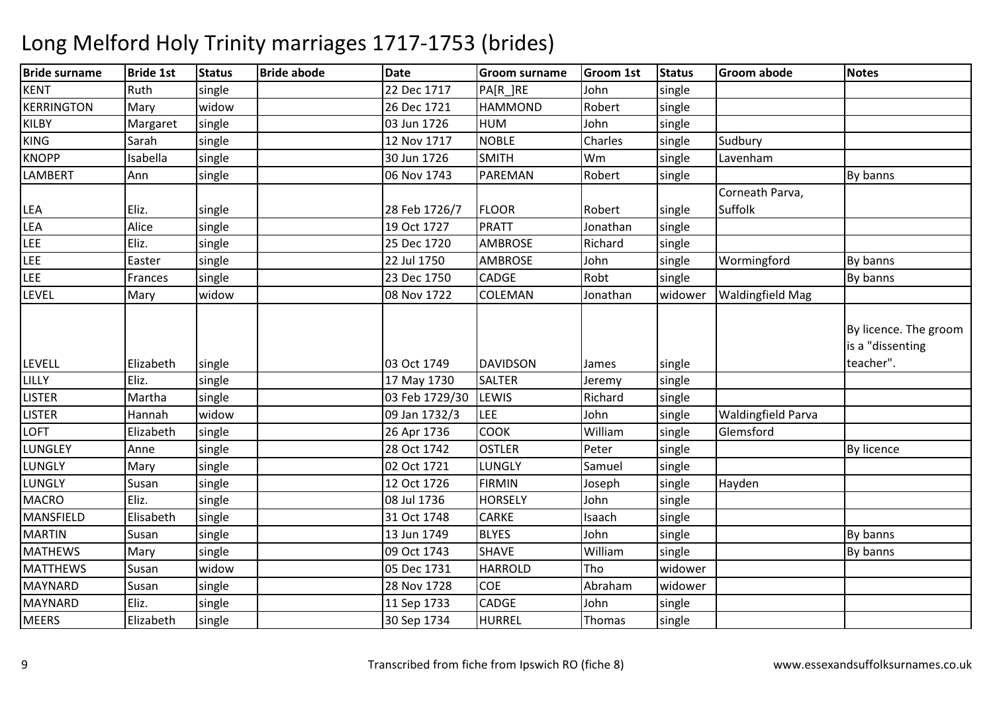| <b>Bride surname</b> | <b>Bride 1st</b> | <b>Status</b> | <b>Bride abode</b> | <b>Date</b>    | <b>Groom surname</b> | <b>Groom 1st</b> | <b>Status</b> | <b>Groom abode</b>        | <b>Notes</b>                              |
|----------------------|------------------|---------------|--------------------|----------------|----------------------|------------------|---------------|---------------------------|-------------------------------------------|
| KENT                 | Ruth             | single        |                    | 22 Dec 1717    | PA[R_]RE             | John             | single        |                           |                                           |
| KERRINGTON           | Mary             | widow         |                    | 26 Dec 1721    | <b>HAMMOND</b>       | Robert           | single        |                           |                                           |
| <b>KILBY</b>         | Margaret         | single        |                    | 03 Jun 1726    | <b>HUM</b>           | John             | single        |                           |                                           |
| <b>KING</b>          | Sarah            | single        |                    | 12 Nov 1717    | <b>NOBLE</b>         | Charles          | single        | Sudbury                   |                                           |
| <b>KNOPP</b>         | Isabella         | single        |                    | 30 Jun 1726    | <b>SMITH</b>         | Wm               | single        | Lavenham                  |                                           |
| <b>LAMBERT</b>       | Ann              | single        |                    | 06 Nov 1743    | PAREMAN              | Robert           | single        |                           | By banns                                  |
|                      |                  |               |                    |                |                      |                  |               | Corneath Parva,           |                                           |
| <b>LEA</b>           | Eliz.            | single        |                    | 28 Feb 1726/7  | <b>FLOOR</b>         | Robert           | single        | Suffolk                   |                                           |
| <b>LEA</b>           | Alice            | single        |                    | 19 Oct 1727    | <b>PRATT</b>         | Jonathan         | single        |                           |                                           |
| <b>LEE</b>           | Eliz.            | single        |                    | 25 Dec 1720    | <b>AMBROSE</b>       | Richard          | single        |                           |                                           |
| LEE                  | Easter           | single        |                    | 22 Jul 1750    | AMBROSE              | John             | single        | Wormingford               | By banns                                  |
| LEE                  | Frances          | single        |                    | 23 Dec 1750    | <b>CADGE</b>         | Robt             | single        |                           | By banns                                  |
| <b>LEVEL</b>         | Mary             | widow         |                    | 08 Nov 1722    | <b>COLEMAN</b>       | Jonathan         | widower       | <b>Waldingfield Mag</b>   |                                           |
|                      |                  |               |                    |                |                      |                  |               |                           | By licence. The groom<br>is a "dissenting |
| <b>LEVELL</b>        | Elizabeth        | single        |                    | 03 Oct 1749    | <b>DAVIDSON</b>      | James            | single        |                           | teacher".                                 |
| LILLY                | Eliz.            | single        |                    | 17 May 1730    | <b>SALTER</b>        | Jeremy           | single        |                           |                                           |
| <b>LISTER</b>        | Martha           | single        |                    | 03 Feb 1729/30 | <b>LEWIS</b>         | Richard          | single        |                           |                                           |
| <b>LISTER</b>        | Hannah           | widow         |                    | 09 Jan 1732/3  | <b>LEE</b>           | John             | single        | <b>Waldingfield Parva</b> |                                           |
| <b>LOFT</b>          | Elizabeth        | single        |                    | 26 Apr 1736    | <b>COOK</b>          | William          | single        | Glemsford                 |                                           |
| LUNGLEY              | Anne             | single        |                    | 28 Oct 1742    | <b>OSTLER</b>        | Peter            | single        |                           | <b>By licence</b>                         |
| LUNGLY               | Mary             | single        |                    | 02 Oct 1721    | LUNGLY               | Samuel           | single        |                           |                                           |
| <b>LUNGLY</b>        | Susan            | single        |                    | 12 Oct 1726    | <b>FIRMIN</b>        | Joseph           | single        | Hayden                    |                                           |
| <b>MACRO</b>         | Eliz.            | single        |                    | 08 Jul 1736    | <b>HORSELY</b>       | John             | single        |                           |                                           |
| MANSFIELD            | Elisabeth        | single        |                    | 31 Oct 1748    | <b>CARKE</b>         | Isaach           | single        |                           |                                           |
| <b>MARTIN</b>        | Susan            | single        |                    | 13 Jun 1749    | <b>BLYES</b>         | John             | single        |                           | By banns                                  |
| <b>MATHEWS</b>       | Mary             | single        |                    | 09 Oct 1743    | <b>SHAVE</b>         | William          | single        |                           | By banns                                  |
| <b>MATTHEWS</b>      | Susan            | widow         |                    | 05 Dec 1731    | <b>HARROLD</b>       | Tho              | widower       |                           |                                           |
| <b>MAYNARD</b>       | Susan            | single        |                    | 28 Nov 1728    | <b>COE</b>           | Abraham          | widower       |                           |                                           |
| <b>MAYNARD</b>       | Eliz.            | single        |                    | 11 Sep 1733    | <b>CADGE</b>         | John             | single        |                           |                                           |
| <b>MEERS</b>         | Elizabeth        | single        |                    | 30 Sep 1734    | <b>HURREL</b>        | Thomas           | single        |                           |                                           |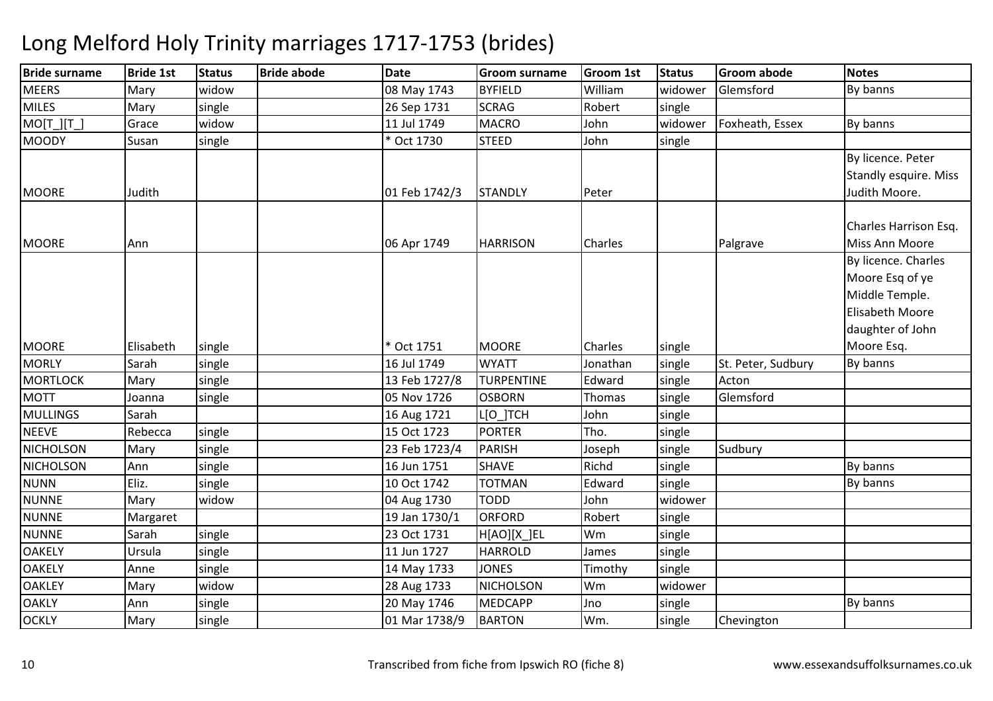### Bride surnamee Bride 1st Status Bride abode Date Groom surname Groom 1st Status Groom abode Notes **MEERS**  Mary widoww | 1743 BYFIELD William | 208 May 1743 BYFIELD | William m widower Glemsford By banns **MILES** Mary single 26 Sep 1731<br>11 Jul 1749 SCRAG<br>MACRO Robert single<br>John widower MO[T\_][T\_] Grace widoww 11 Jul 1749 MACRO John widower Foxheath, Essex By banns **MOODY**  Susann | single | kort 1730 | STEED D John single MOORE Judith 01 Feb 1742/3 STANDLY Peter By licence. Peter Standly esquire. Miss Judith Moore.MOORE Ann n 1990 - Johann McDann (1990) - 1749 - HARRISON Charles Johann Palgrave Charles Harrison Esq. Miss Ann Moore By licence. Charles MOORE Elisabeth single \* Oct 1751 MOORE Charles singlesingle Moore Esa of ve Middle Temple. Elisabeth Moore daughter of John Moore Esq.**MORLY**  Sarahh |single | 16 Jul 1749 | WYATT | Jonathan |single St. Peter, Sudbury By banns **MORTLOCK** K Mary Single 13 Feb 1727/8 TURPENTINE Edward single Acton MOTTJoanna *single*  05 Nov 1726**OSBORN** OSBORN Thomas single Glemsford<br>LIONTCH John single MULLINGS Sarah16 Aug 1721 John single<br>Tho. single NEEVERebecca single 15 Oct 1723<br>23 Feb 1723/4 PORTER<br>PARISH Tho. single<br>Joseph single NICHOLSONN Mary Single 23 Feb 1723/4 PARISH Joseph single Sudbury NICHOLSONN Ann single 16 Jun 1751 SHAVE Richd single By banns NUNNN Eliz. Single 10 Oct 1742 TOTMAN Edward single By banns NUNNE Mary widow 04 Aug 1730 TODD John widower **NUNNE** Margaret 19 Jan 1730/1<br>
Sarah Single 23 Oct 1731 **ORFORD** Robert single<br>Wm single **NUNNE**  Sarahsingle | 23 Oct 1731 | H[AO][X ] EL single<br>single **OAKELY** Ursula single single 11 Jun 1727<br>
single 14 May 173 HARROLD<br>JONES James single<br>Timothy single **OAKELY**  Anne14 May 1733 JONES Timothy<br>NICHOLSON Wm **OAKLEY**  Mary widoww | 28 Aug 1733 | NICHOLSON | Wm<br>| 22 Aug 1733 | Nicholson | Wm Wm widower<br>Jno single **OAKLY**  Annn single 10 20 May 1746 MEDCAPP Jno Ino Single Superington By banns **OCKLY** Mary single 01 Mar 1738/9 BARTONsingle Chevington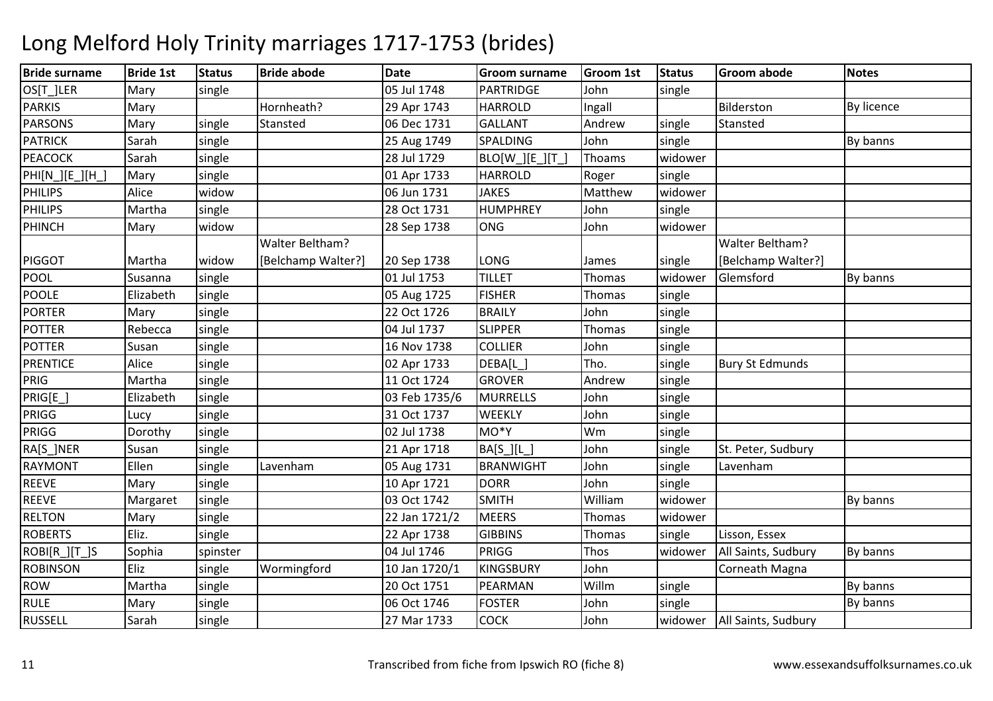| <b>Bride surname</b> | <b>Bride 1st</b> | <b>Status</b> | <b>Bride abode</b> | <b>Date</b>   | <b>Groom surname</b> | <b>Groom 1st</b> | <b>Status</b> | <b>Groom abode</b>     | <b>Notes</b>      |
|----------------------|------------------|---------------|--------------------|---------------|----------------------|------------------|---------------|------------------------|-------------------|
| OS[T_]LER            | Mary             | single        |                    | 05 Jul 1748   | <b>PARTRIDGE</b>     | John             | single        |                        |                   |
| <b>PARKIS</b>        | Mary             |               | Hornheath?         | 29 Apr 1743   | <b>HARROLD</b>       | Ingall           |               | Bilderston             | <b>By licence</b> |
| <b>PARSONS</b>       | Mary             | single        | Stansted           | 06 Dec 1731   | <b>GALLANT</b>       | Andrew           | single        | Stansted               |                   |
| <b>PATRICK</b>       | Sarah            | single        |                    | 25 Aug 1749   | SPALDING             | John             | single        |                        | By banns          |
| <b>PEACOCK</b>       | Sarah            | single        |                    | 28 Jul 1729   | BLO[W_][E_][T_       | Thoams           | widower       |                        |                   |
| PHI[N_][E_][H_]      | Mary             | single        |                    | 01 Apr 1733   | <b>HARROLD</b>       | Roger            | single        |                        |                   |
| <b>PHILIPS</b>       | Alice            | widow         |                    | 06 Jun 1731   | <b>JAKES</b>         | Matthew          | widower       |                        |                   |
| <b>PHILIPS</b>       | Martha           | single        |                    | 28 Oct 1731   | <b>HUMPHREY</b>      | John             | single        |                        |                   |
| PHINCH               | Mary             | widow         |                    | 28 Sep 1738   | <b>ONG</b>           | John             | widower       |                        |                   |
|                      |                  |               | Walter Beltham?    |               |                      |                  |               | Walter Beltham?        |                   |
| <b>PIGGOT</b>        | Martha           | widow         | [Belchamp Walter?] | 20 Sep 1738   | LONG                 | James            | single        | [Belchamp Walter?]     |                   |
| POOL                 | Susanna          | single        |                    | 01 Jul 1753   | <b>TILLET</b>        | Thomas           | widower       | Glemsford              | By banns          |
| <b>POOLE</b>         | Elizabeth        | single        |                    | 05 Aug 1725   | <b>FISHER</b>        | Thomas           | single        |                        |                   |
| <b>PORTER</b>        | Mary             | single        |                    | 22 Oct 1726   | <b>BRAILY</b>        | John             | single        |                        |                   |
| <b>POTTER</b>        | Rebecca          | single        |                    | 04 Jul 1737   | <b>SLIPPER</b>       | Thomas           | single        |                        |                   |
| <b>POTTER</b>        | Susan            | single        |                    | 16 Nov 1738   | <b>COLLIER</b>       | John             | single        |                        |                   |
| <b>PRENTICE</b>      | Alice            | single        |                    | 02 Apr 1733   | DEBA[L_]             | Tho.             | single        | <b>Bury St Edmunds</b> |                   |
| <b>PRIG</b>          | Martha           | single        |                    | 11 Oct 1724   | <b>GROVER</b>        | Andrew           | single        |                        |                   |
| PRIG[E_]             | Elizabeth        | single        |                    | 03 Feb 1735/6 | <b>MURRELLS</b>      | John             | single        |                        |                   |
| PRIGG                | Lucy             | single        |                    | 31 Oct 1737   | WEEKLY               | John             | single        |                        |                   |
| PRIGG                | Dorothy          | single        |                    | 02 Jul 1738   | MO*Y                 | Wm               | single        |                        |                   |
| RA[S_]NER            | Susan            | single        |                    | 21 Apr 1718   | BA[S_][L_]           | John             | single        | St. Peter, Sudbury     |                   |
| <b>RAYMONT</b>       | Ellen            | single        | Lavenham           | 05 Aug 1731   | <b>BRANWIGHT</b>     | John             | single        | Lavenham               |                   |
| <b>REEVE</b>         | Mary             | single        |                    | 10 Apr 1721   | <b>DORR</b>          | John             | single        |                        |                   |
| <b>REEVE</b>         | Margaret         | single        |                    | 03 Oct 1742   | <b>SMITH</b>         | William          | widower       |                        | By banns          |
| <b>RELTON</b>        | Mary             | single        |                    | 22 Jan 1721/2 | <b>MEERS</b>         | Thomas           | widower       |                        |                   |
| <b>ROBERTS</b>       | Eliz.            | single        |                    | 22 Apr 1738   | <b>GIBBINS</b>       | Thomas           | single        | Lisson, Essex          |                   |
| ROBI[R_][T_]S        | Sophia           | spinster      |                    | 04 Jul 1746   | PRIGG                | Thos             | widower       | All Saints, Sudbury    | By banns          |
| <b>ROBINSON</b>      | Eliz             | single        | Wormingford        | 10 Jan 1720/1 | <b>KINGSBURY</b>     | John             |               | Corneath Magna         |                   |
| <b>ROW</b>           | Martha           | single        |                    | 20 Oct 1751   | PEARMAN              | Willm            | single        |                        | By banns          |
| <b>RULE</b>          | Mary             | single        |                    | 06 Oct 1746   | <b>FOSTER</b>        | John             | single        |                        | By banns          |
| <b>RUSSELL</b>       | Sarah            | single        |                    | 27 Mar 1733   | <b>COCK</b>          | John             | widower       | All Saints, Sudbury    |                   |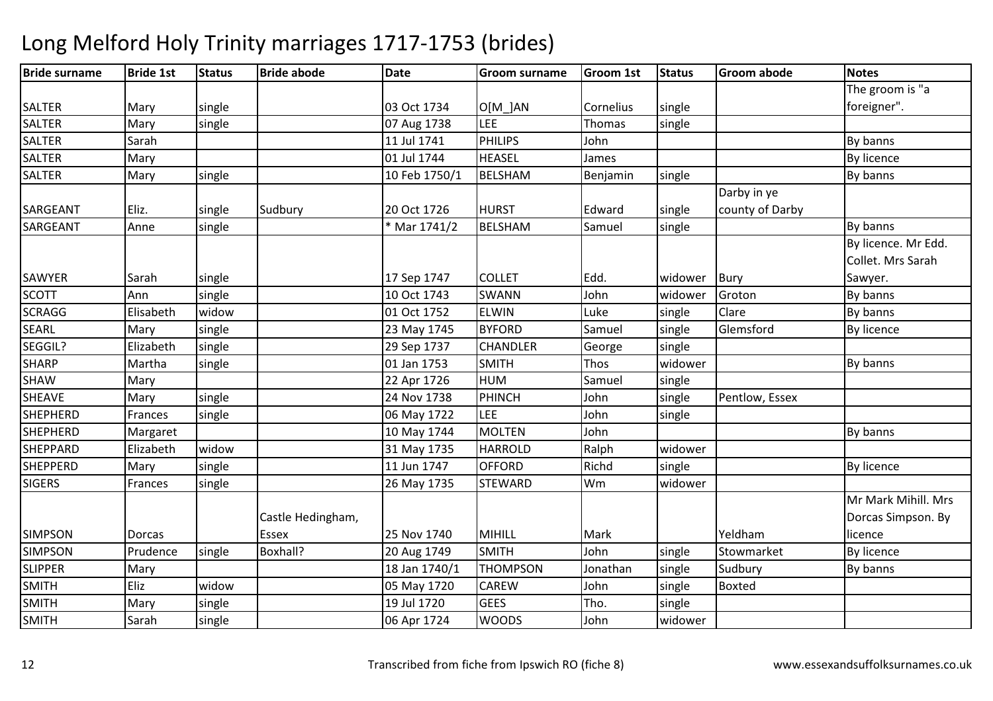| <b>Bride surname</b> | <b>Bride 1st</b> | <b>Status</b> | <b>Bride abode</b> | <b>Date</b>   | <b>Groom surname</b> | <b>Groom 1st</b> | <b>Status</b> | <b>Groom abode</b> | <b>Notes</b>        |
|----------------------|------------------|---------------|--------------------|---------------|----------------------|------------------|---------------|--------------------|---------------------|
|                      |                  |               |                    |               |                      |                  |               |                    | The groom is "a     |
| <b>SALTER</b>        | Mary             | single        |                    | 03 Oct 1734   | O[M ]AN              | Cornelius        | single        |                    | foreigner".         |
| <b>SALTER</b>        | Mary             | single        |                    | 07 Aug 1738   | LEE                  | Thomas           | single        |                    |                     |
| SALTER               | Sarah            |               |                    | 11 Jul 1741   | <b>PHILIPS</b>       | John             |               |                    | By banns            |
| <b>SALTER</b>        | Mary             |               |                    | 01 Jul 1744   | <b>HEASEL</b>        | James            |               |                    | <b>By licence</b>   |
| <b>SALTER</b>        | Mary             | single        |                    | 10 Feb 1750/1 | <b>BELSHAM</b>       | Benjamin         | single        |                    | By banns            |
|                      |                  |               |                    |               |                      |                  |               | Darby in ye        |                     |
| SARGEANT             | Eliz.            | single        | Sudbury            | 20 Oct 1726   | <b>HURST</b>         | Edward           | single        | county of Darby    |                     |
| SARGEANT             | Anne             | single        |                    | * Mar 1741/2  | <b>BELSHAM</b>       | Samuel           | single        |                    | By banns            |
|                      |                  |               |                    |               |                      |                  |               |                    | By licence. Mr Edd. |
|                      |                  |               |                    |               |                      |                  |               |                    | Collet. Mrs Sarah   |
| <b>SAWYER</b>        | Sarah            | single        |                    | 17 Sep 1747   | <b>COLLET</b>        | Edd.             | widower       | Bury               | Sawyer.             |
| <b>SCOTT</b>         | Ann              | single        |                    | 10 Oct 1743   | SWANN                | John             | widower       | Groton             | By banns            |
| <b>SCRAGG</b>        | Elisabeth        | widow         |                    | 01 Oct 1752   | <b>ELWIN</b>         | Luke             | single        | Clare              | By banns            |
| <b>SEARL</b>         | Mary             | single        |                    | 23 May 1745   | <b>BYFORD</b>        | Samuel           | single        | Glemsford          | <b>By licence</b>   |
| SEGGIL?              | Elizabeth        | single        |                    | 29 Sep 1737   | CHANDLER             | George           | single        |                    |                     |
| <b>SHARP</b>         | Martha           | single        |                    | 01 Jan 1753   | <b>SMITH</b>         | Thos             | widower       |                    | By banns            |
| <b>SHAW</b>          | Mary             |               |                    | 22 Apr 1726   | <b>HUM</b>           | Samuel           | single        |                    |                     |
| SHEAVE               | Mary             | single        |                    | 24 Nov 1738   | <b>PHINCH</b>        | John             | single        | Pentlow, Essex     |                     |
| <b>SHEPHERD</b>      | Frances          | single        |                    | 06 May 1722   | <b>LEE</b>           | John             | single        |                    |                     |
| <b>SHEPHERD</b>      | Margaret         |               |                    | 10 May 1744   | <b>MOLTEN</b>        | John             |               |                    | By banns            |
| <b>SHEPPARD</b>      | Elizabeth        | widow         |                    | 31 May 1735   | <b>HARROLD</b>       | Ralph            | widower       |                    |                     |
| <b>SHEPPERD</b>      | Mary             | single        |                    | 11 Jun 1747   | <b>OFFORD</b>        | Richd            | single        |                    | <b>By licence</b>   |
| <b>SIGERS</b>        | Frances          | single        |                    | 26 May 1735   | <b>STEWARD</b>       | Wm               | widower       |                    |                     |
|                      |                  |               |                    |               |                      |                  |               |                    | Mr Mark Mihill, Mrs |
|                      |                  |               | Castle Hedingham,  |               |                      |                  |               |                    | Dorcas Simpson. By  |
| <b>SIMPSON</b>       | Dorcas           |               | <b>Essex</b>       | 25 Nov 1740   | <b>MIHILL</b>        | Mark             |               | Yeldham            | licence             |
| <b>SIMPSON</b>       | Prudence         | single        | Boxhall?           | 20 Aug 1749   | <b>SMITH</b>         | John             | single        | Stowmarket         | By licence          |
| <b>SLIPPER</b>       | Mary             |               |                    | 18 Jan 1740/1 | <b>THOMPSON</b>      | Jonathan         | single        | Sudbury            | By banns            |
| <b>SMITH</b>         | Eliz             | widow         |                    | 05 May 1720   | <b>CAREW</b>         | John             | single        | <b>Boxted</b>      |                     |
| <b>SMITH</b>         | Mary             | single        |                    | 19 Jul 1720   | GEES                 | Tho.             | single        |                    |                     |
| <b>SMITH</b>         | Sarah            | single        |                    | 06 Apr 1724   | <b>WOODS</b>         | John             | widower       |                    |                     |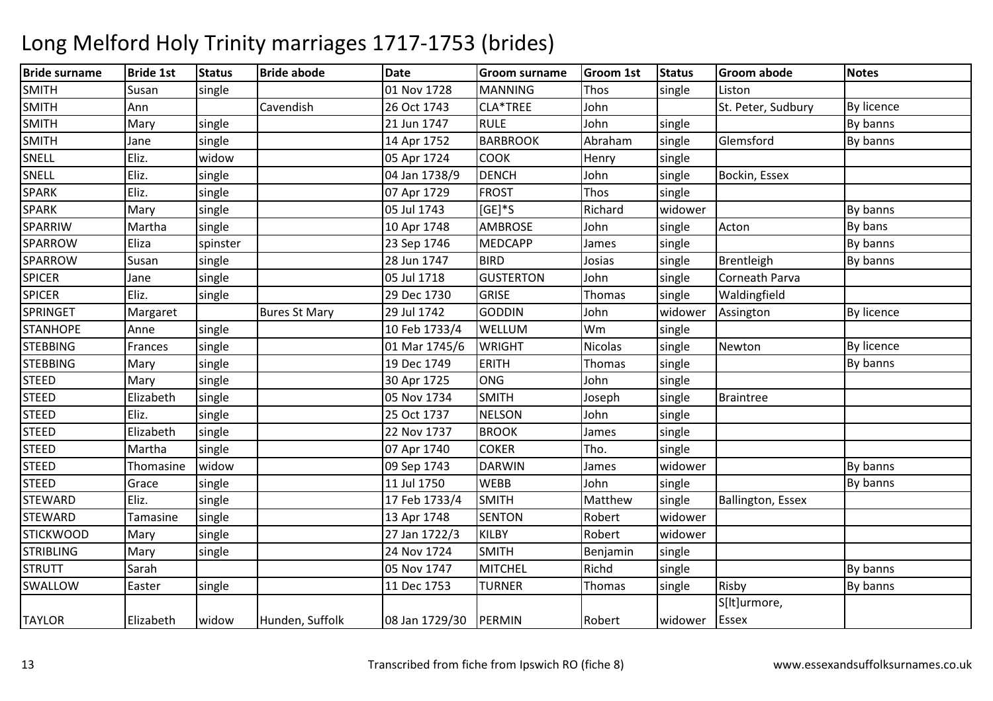### Bride surnamee Bride 1st Status Bride abode Date Groom surname Groom 1st Status Groom abode Notes SMITHH Susan single 1 01 Nov 1728 MANNING G Thos single Liston SMITHH Mann Cavendish 26 Oct 1743 CLA\*TREE John St. Peter, Sudbury By licence SMITHH Mary single 21 Jun 1747 RULE John single By banns SMITHH Jane Single 14 Apr 1752 BARBROOK Abraham m single Glemsford By banns **SNELL**  Eliz. widoww 05 Apr 1724 COOK Henry single SNELLEliz. single 04 Jan 1738/9 DENCHDENCH John single Bockin, Essex<br>FROST Thos single SPARKK Thos Eliz. Single 1999 Elize Single 1729 FROST Thos Single SPARKK 1999 | Mary single 1999 | Mary single 1999 | Mary single 1999 | Mary single 1999 | Mary single 1999 | Mary S SPARRIWW Martha single 10 Apr 1748 AMBROSE John single Acton By bans and By bans and By bans and By bans and By bans <br>2006 Blizza Bulgarian By bans 2006 1746 MEDGAPP Lines Single Cordination Devices SPARROWW Eliza spinster 23 Sep 1746 MEDCAPP James single By banns By banns By banns By banns<br>We Guess single By banns 20 Jun 1747 DIPP Letter Studies President Publishers Burbours SPARROWW Susan single 28 Jun 1747 BIRD Josias single Brentleigh By banns<br>Alexander Single By Boston By Banns By Banns (Burnett Bannett Bannett Banns By banns SPICERR Jane Single 1 05 Jul 1718 GUSTERTON GUSTERTON John single Corneath Parva<br>GRISE Thomas single Waldingfield SPICERR 199 Dec 1730 GRISE Thomas single Waldingfield Nullet Strategy School (GRISE Thomas Single Waldingfield **SPRINGFT** Margaret | Bures St Mary | 29 Jul 1742 GODDINN John widower Assington By licence **STANHOPE**  Annesingle 10 Feb 1733/4 **WELLUM** M Wm Single<br>Think Single **STEBBING** G Frances single 01 Mar 1745/6 WRIGHT Nicolas single Newton By licence **STEBBING** G Mary single 19 Dec 1749 ERITH Thomas single By banns **STEED** D Mary single 30 Apr 1725 ONG G John single **STEED** D **Elizabeth single 1** 05 Nov 1734 SMITH Joseph single Braintree STEEDD Eliz. single 25 Oct 1737 NELSON NELSON John single<br>BROOK James single STEEDD BROOK Elizabeth single 22 Nov 1737 BROOK James single STEEDD Martha single 1 107 Apr 1740 COKER Tho. Single **STEED** Thomasine widow<br>Grace single w 109 Sep 1743 DARWIN James widower By banns **STEED** D Grace single 11 Jul 1750 WEBB John single By banns **STEWARD** D Eliz. single 17 Feb 1733/4 SMITH Matthew Matthew single Ballington, Essex **STEWARD** D Tamasine single 13 Apr 1748 SENTON EXTON Robert widower<br>
KILBY Robert widower **STICKWOOD** D Mary single 27 Jan 1722/3 KILBY Robert widower **STRIBLING** G Mary single 24 Nov 1724 SMITH Benjamin single **STRUTT**  Sarahh 1998 Nov 1747 MITCHEL Richd single By banns SWALLOWW Easter single 11 Dec 1753 TURNER Thomas single Risby By banns<br>Thomas Single By banns TAYLOR Elizabeth widow Hunden, Suffolk 08 Jan 1729/30 PERMIN Robert widowerS[lt]urmore, **Essex**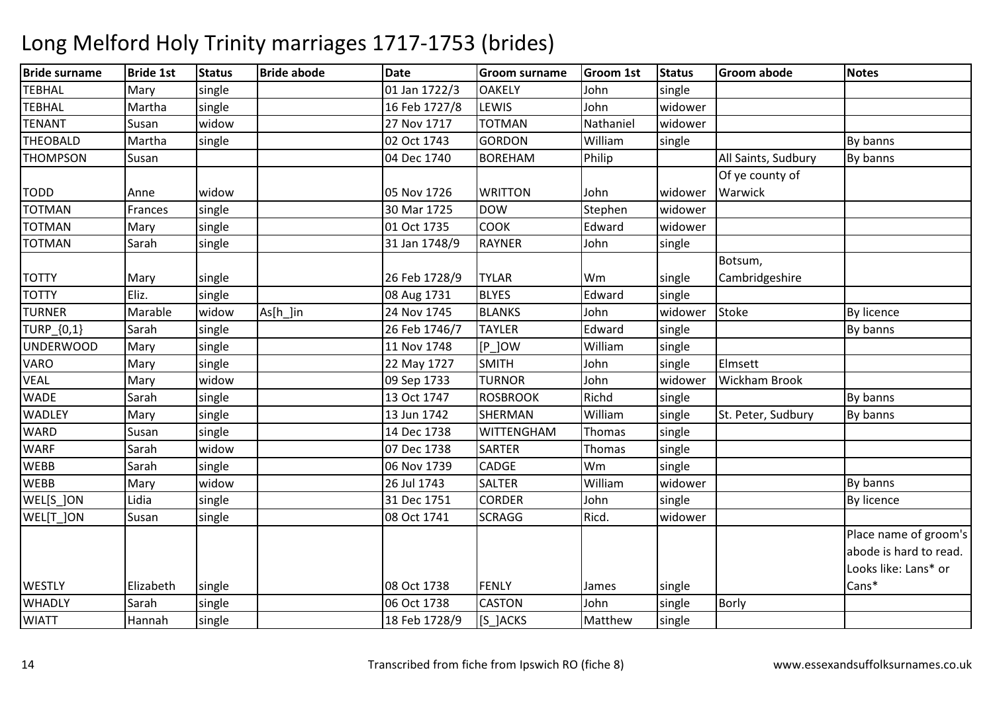### Bride surnamee Bride 1st Status Bride abode Date Groom surname Groom 1st Status Groom abode Notes **TFRHAL**  Mary single 01 Jan 1722/3OAKELY John<br>LEWIS John single **TFRHAL**  Martha single16 Feb 1727/8 LEWIS John<br>TOTMAN Nathaniel widower TENANT Susan widow 27 Nov 1717 TOTMAN Nathaniel widower THEOBALDD Martha single 1 02 Oct 1743 GORDON **GORDON** William<br>**BOREHAM** Philip m single By banns THOMPSONN Susan 1988 Susan 1988 Susan 1988 Susan 1988 Susan 1988 Susan 1988 Susan 1988 Susan 1988 Susan 1988 Susan 198 All Saints, Sudbury | By banns TODD Anne widow 05 Nov 1726 WRITTON John widowerOf ye county of **Warwick** TOTMANN Frances single 30 Mar 1725 DOW W Stephen widower<br>Charles Schward widower TOTMANN Mary single 01 Oct 1735 COOK Edward widower TOTMANN Sarah single 31 Jan 1748/9 RAYNER John single TOTTY Mary single 26 Feb 1728/9 TYLAR Wm singled single Botsum, CambridgeshireTOTTYEliz. single 08 Aug 1731<br>As[h ]in 24 Nov 1745 BLYES Edward TURNERMarable **Widow**  As[h\_]in 24 Nov 1745 BLANKS John widower Stoke By licence TURP\_{0,1} Sarahsingle 26 Feb 1746/7 TAYLER<br>single 11 Nov 1748 IP 10W R Edward single By banns UNDERWOOD Mary single 11 Nov 1748 [P\_]OWWilliam single<br>
Looke single VARO0 Mary single 22 May 1727 SMITH John single Elmsett VEAL Mary widow 09 Sep 1733 TURNOR John widower Wickham Brook **WADE**  Sarahh | single | 13 Oct 1747 | ROSBROOK | Richd | single | 13 Oct 1747 | ROSBROOK | Richd | single | 13 Oct 1747 | ROSBROOK | Richd | single | 13 Oct 1747 | ROSBROOK | Richd | single | 13 Oct 1747 | ROSBROOK | Richd | single | WADLEYMary single 13 Jun 1742<br>14 Dec 1738 SHERMAN<br>WITTENGHAM Williamsingle St. Peter, Sudbury By banns<br>single **WARD** D Susan single 14 Dec 1738 WITTENGHAM Thomas single<br>Thomas single WARF Sarahwidow<br>single w 107 Dec 1738 SARTER Thomas single<br>And the second services in the service in the service in the service in the series of the service in the series WEBBB Sarah single 1 06 Nov 1739 CADGE Wm Wm single<br>William widower **WFBB** B Mary Widow 26 Jul 1743 SALTER Williamm widower By banns WEL[S\_]ONN Lidia single 31 Dec 1751 CORDER John single By licence WEL[T\_]ON N Susan single 1 08 Oct 1741 SCRAGG Ricd. Widower WESTLY Elizabeth single 08 Oct 1738 FENLY James singlePlace name of groom's abode is hard to read. Looks like: Lans\* or Cans\*WHADLY Sarahsingle |  $\vert$  06 Oct 1738 CASTON N John single Borly WIATT Hannahh |single | 18 Feb 1728/9 |S\_]ACKS Matthew Matthew single